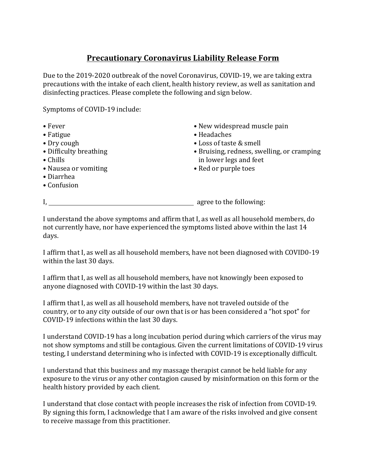## **Precautionary Coronavirus Liability Release Form**

Due to the 2019-2020 outbreak of the novel Coronavirus, COVID-19, we are taking extra precautions with the intake of each client, health history review, as well as sanitation and disinfecting practices. Please complete the following and sign below.

Symptoms of COVID-19 include:

• Fever • Fatigue • Dry cough • Difficulty breathing • Chills • Nausea or vomiting • Diarrhea • Confusion • New widespread muscle pain • Headaches • Loss of taste & smell • Bruising, redness, swelling, or cramping in lower legs and feet • Red or purple toes I, agree to the following:

I understand the above symptoms and affirm that I, as well as all household members, do not currently have, nor have experienced the symptoms listed above within the last 14 days.

I affirm that I, as well as all household members, have not been diagnosed with COVID0-19 within the last 30 days.

I affirm that I, as well as all household members, have not knowingly been exposed to anyone diagnosed with COVID-19 within the last 30 days.

I affirm that I, as well as all household members, have not traveled outside of the country, or to any city outside of our own that is or has been considered a "hot spot" for COVID-19 infections within the last 30 days.

I understand COVID-19 has a long incubation period during which carriers of the virus may not show symptoms and still be contagious. Given the current limitations of COVID-19 virus testing, I understand determining who is infected with COVID-19 is exceptionally difficult.

I understand that this business and my massage therapist cannot be held liable for any exposure to the virus or any other contagion caused by misinformation on this form or the health history provided by each client.

I understand that close contact with people increases the risk of infection from COVID-19. By signing this form, I acknowledge that I am aware of the risks involved and give consent to receive massage from this practitioner.